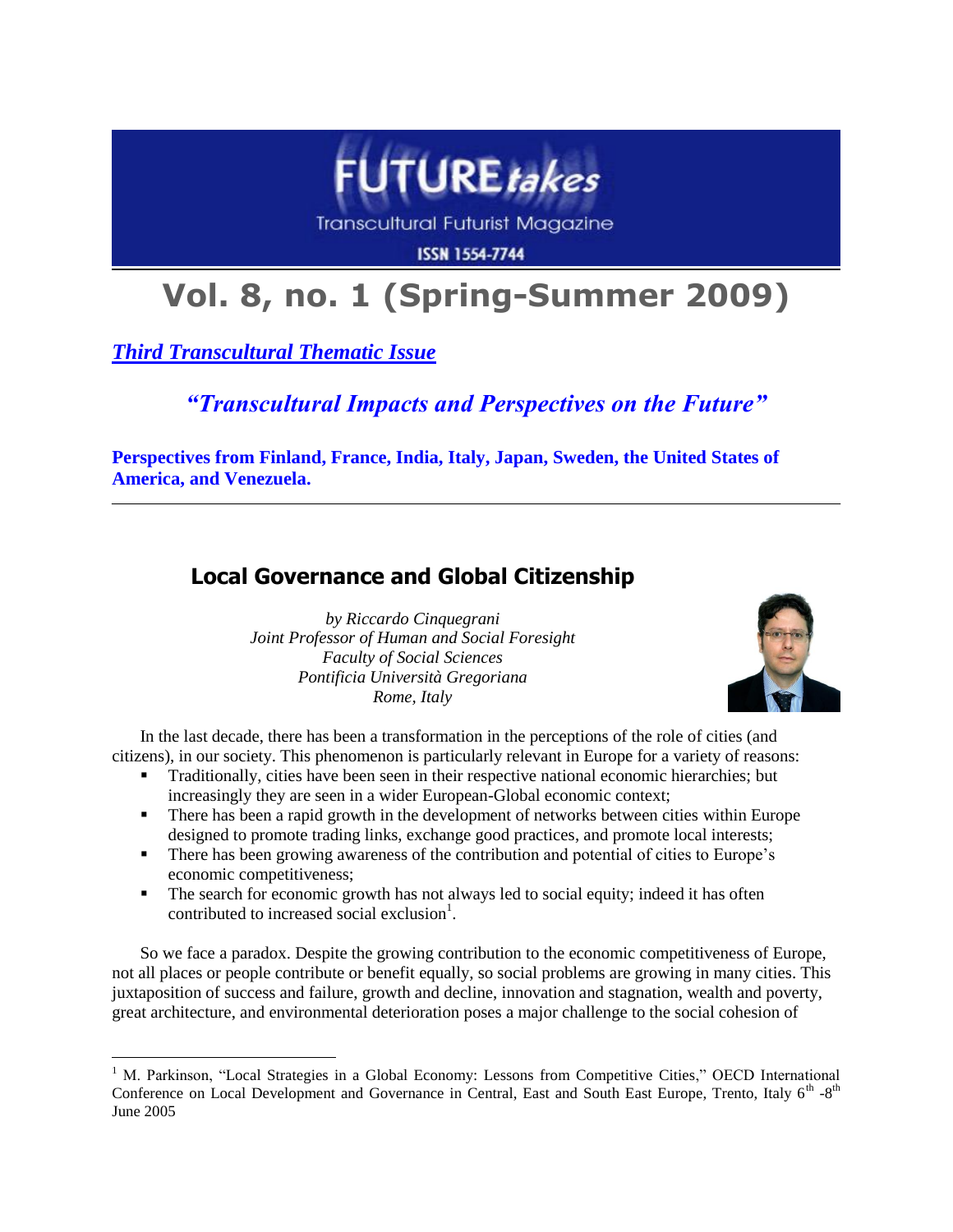

**Transcultural Futurist Magazine** 

**ISSN 1554-7744** 

# **Vol. 8, no. 1 (Spring-Summer 2009)**

*Third Transcultural Thematic Issue*

 $\overline{a}$ 

## *"Transcultural Impacts and Perspectives on the Future"*

**Perspectives from Finland, France, India, Italy, Japan, Sweden, the United States of America, and Venezuela.**

### **Local Governance and Global Citizenship**

*by Riccardo Cinquegrani Joint Professor of Human and Social Foresight Faculty of Social Sciences Pontificia Università Gregoriana Rome, Italy*



In the last decade, there has been a transformation in the perceptions of the role of cities (and citizens), in our society. This phenomenon is particularly relevant in Europe for a variety of reasons:

- Traditionally, cities have been seen in their respective national economic hierarchies; but increasingly they are seen in a wider European-Global economic context;
- There has been a rapid growth in the development of networks between cities within Europe designed to promote trading links, exchange good practices, and promote local interests;
- **There has been growing awareness of the contribution and potential of cities to Europe's** economic competitiveness;
- The search for economic growth has not always led to social equity; indeed it has often contributed to increased social exclusion<sup>1</sup>.

So we face a paradox. Despite the growing contribution to the economic competitiveness of Europe, not all places or people contribute or benefit equally, so social problems are growing in many cities. This juxtaposition of success and failure, growth and decline, innovation and stagnation, wealth and poverty, great architecture, and environmental deterioration poses a major challenge to the social cohesion of

 $1$  M. Parkinson, "Local Strategies in a Global Economy: Lessons from Competitive Cities," OECD International Conference on Local Development and Governance in Central, East and South East Europe, Trento, Italy 6<sup>th</sup> -8<sup>th</sup> June 2005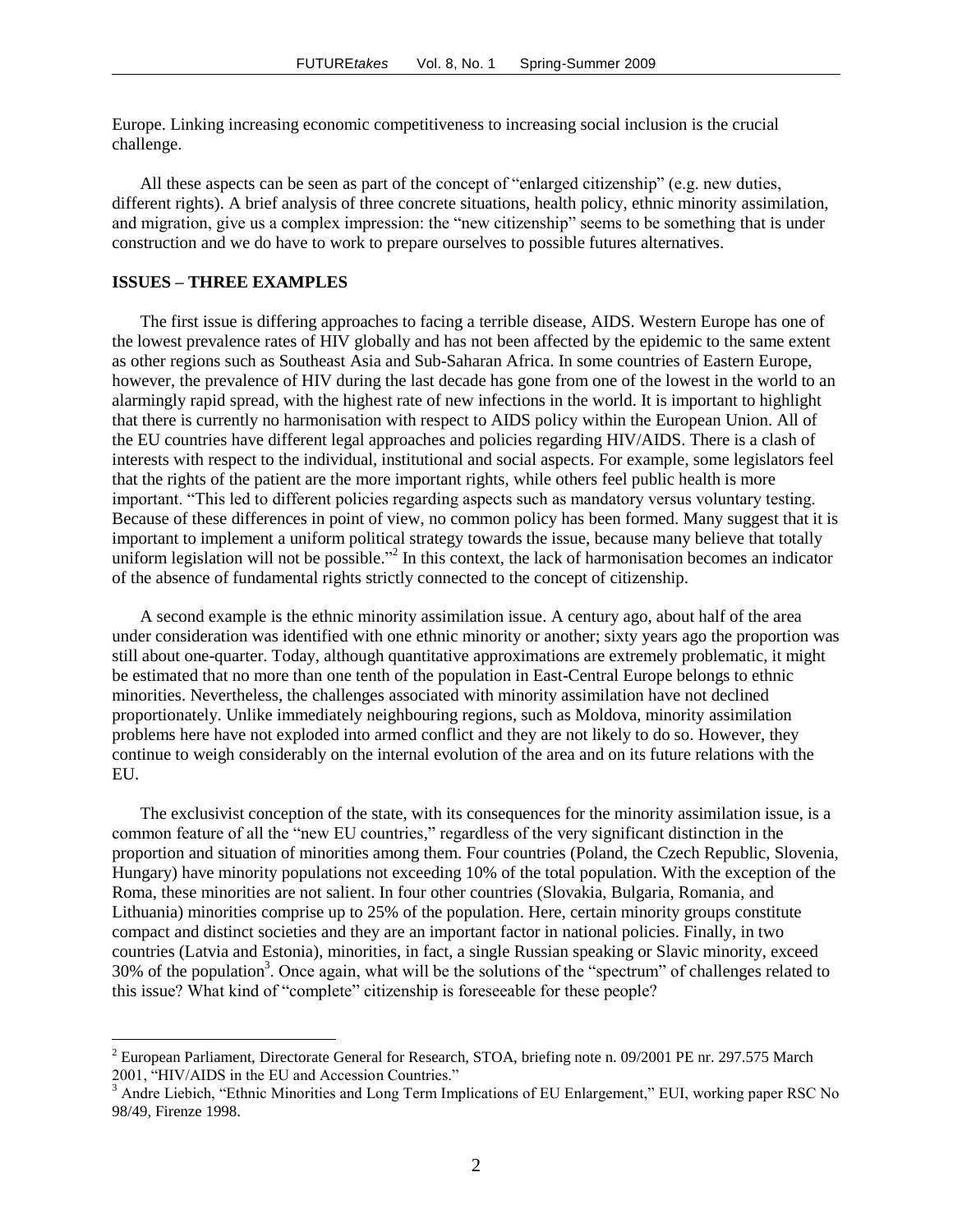Europe. Linking increasing economic competitiveness to increasing social inclusion is the crucial challenge.

All these aspects can be seen as part of the concept of "enlarged citizenship" (e.g. new duties, different rights). A brief analysis of three concrete situations, health policy, ethnic minority assimilation, and migration, give us a complex impression: the "new citizenship" seems to be something that is under construction and we do have to work to prepare ourselves to possible futures alternatives.

#### **ISSUES – THREE EXAMPLES**

 $\overline{a}$ 

The first issue is differing approaches to facing a terrible disease, AIDS. Western Europe has one of the lowest prevalence rates of HIV globally and has not been affected by the epidemic to the same extent as other regions such as Southeast Asia and Sub-Saharan Africa. In some countries of Eastern Europe, however, the prevalence of HIV during the last decade has gone from one of the lowest in the world to an alarmingly rapid spread, with the highest rate of new infections in the world. It is important to highlight that there is currently no harmonisation with respect to AIDS policy within the European Union. All of the EU countries have different legal approaches and policies regarding HIV/AIDS. There is a clash of interests with respect to the individual, institutional and social aspects. For example, some legislators feel that the rights of the patient are the more important rights, while others feel public health is more important. "This led to different policies regarding aspects such as mandatory versus voluntary testing. Because of these differences in point of view, no common policy has been formed. Many suggest that it is important to implement a uniform political strategy towards the issue, because many believe that totally uniform legislation will not be possible."<sup>2</sup> In this context, the lack of harmonisation becomes an indicator of the absence of fundamental rights strictly connected to the concept of citizenship.

A second example is the ethnic minority assimilation issue. A century ago, about half of the area under consideration was identified with one ethnic minority or another; sixty years ago the proportion was still about one-quarter. Today, although quantitative approximations are extremely problematic, it might be estimated that no more than one tenth of the population in East-Central Europe belongs to ethnic minorities. Nevertheless, the challenges associated with minority assimilation have not declined proportionately. Unlike immediately neighbouring regions, such as Moldova, minority assimilation problems here have not exploded into armed conflict and they are not likely to do so. However, they continue to weigh considerably on the internal evolution of the area and on its future relations with the EU.

The exclusivist conception of the state, with its consequences for the minority assimilation issue, is a common feature of all the "new EU countries," regardless of the very significant distinction in the proportion and situation of minorities among them. Four countries (Poland, the Czech Republic, Slovenia, Hungary) have minority populations not exceeding 10% of the total population. With the exception of the Roma, these minorities are not salient. In four other countries (Slovakia, Bulgaria, Romania, and Lithuania) minorities comprise up to 25% of the population. Here, certain minority groups constitute compact and distinct societies and they are an important factor in national policies. Finally, in two countries (Latvia and Estonia), minorities, in fact, a single Russian speaking or Slavic minority, exceed 30% of the population<sup>3</sup>. Once again, what will be the solutions of the "spectrum" of challenges related to this issue? What kind of "complete" citizenship is foreseeable for these people?

<sup>&</sup>lt;sup>2</sup> European Parliament, Directorate General for Research, STOA, briefing note n. 09/2001 PE nr. 297.575 March 2001, "HIV/AIDS in the EU and Accession Countries."

<sup>&</sup>lt;sup>3</sup> Andre Liebich, "Ethnic Minorities and Long Term Implications of EU Enlargement," EUI, working paper RSC No 98/49, Firenze 1998.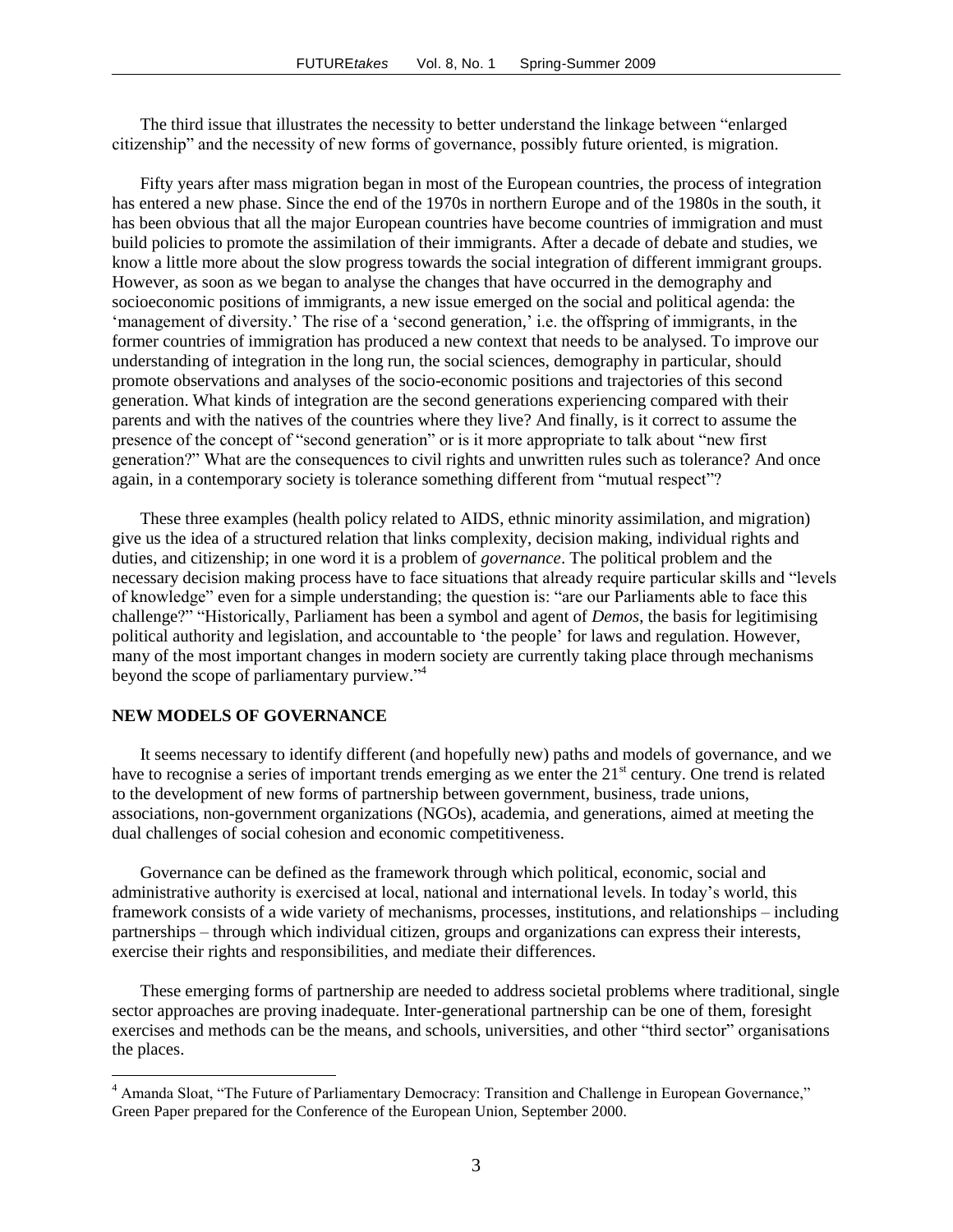The third issue that illustrates the necessity to better understand the linkage between "enlarged citizenship" and the necessity of new forms of governance, possibly future oriented, is migration.

Fifty years after mass migration began in most of the European countries, the process of integration has entered a new phase. Since the end of the 1970s in northern Europe and of the 1980s in the south, it has been obvious that all the major European countries have become countries of immigration and must build policies to promote the assimilation of their immigrants. After a decade of debate and studies, we know a little more about the slow progress towards the social integration of different immigrant groups. However, as soon as we began to analyse the changes that have occurred in the demography and socioeconomic positions of immigrants, a new issue emerged on the social and political agenda: the "management of diversity." The rise of a "second generation," i.e. the offspring of immigrants, in the former countries of immigration has produced a new context that needs to be analysed. To improve our understanding of integration in the long run, the social sciences, demography in particular, should promote observations and analyses of the socio-economic positions and trajectories of this second generation. What kinds of integration are the second generations experiencing compared with their parents and with the natives of the countries where they live? And finally, is it correct to assume the presence of the concept of "second generation" or is it more appropriate to talk about "new first generation?" What are the consequences to civil rights and unwritten rules such as tolerance? And once again, in a contemporary society is tolerance something different from "mutual respect"?

These three examples (health policy related to AIDS, ethnic minority assimilation, and migration) give us the idea of a structured relation that links complexity, decision making, individual rights and duties, and citizenship; in one word it is a problem of *governance*. The political problem and the necessary decision making process have to face situations that already require particular skills and "levels of knowledge" even for a simple understanding; the question is: "are our Parliaments able to face this challenge?" "Historically, Parliament has been a symbol and agent of *Demos*, the basis for legitimising political authority and legislation, and accountable to "the people" for laws and regulation. However, many of the most important changes in modern society are currently taking place through mechanisms beyond the scope of parliamentary purview."<sup>4</sup>

#### **NEW MODELS OF GOVERNANCE**

 $\overline{a}$ 

It seems necessary to identify different (and hopefully new) paths and models of governance, and we have to recognise a series of important trends emerging as we enter the  $21<sup>st</sup>$  century. One trend is related to the development of new forms of partnership between government, business, trade unions, associations, non-government organizations (NGOs), academia, and generations, aimed at meeting the dual challenges of social cohesion and economic competitiveness.

Governance can be defined as the framework through which political, economic, social and administrative authority is exercised at local, national and international levels. In today"s world, this framework consists of a wide variety of mechanisms, processes, institutions, and relationships – including partnerships – through which individual citizen, groups and organizations can express their interests, exercise their rights and responsibilities, and mediate their differences.

These emerging forms of partnership are needed to address societal problems where traditional, single sector approaches are proving inadequate. Inter-generational partnership can be one of them, foresight exercises and methods can be the means, and schools, universities, and other "third sector" organisations the places.

<sup>&</sup>lt;sup>4</sup> Amanda Sloat, "The Future of Parliamentary Democracy: Transition and Challenge in European Governance," Green Paper prepared for the Conference of the European Union, September 2000.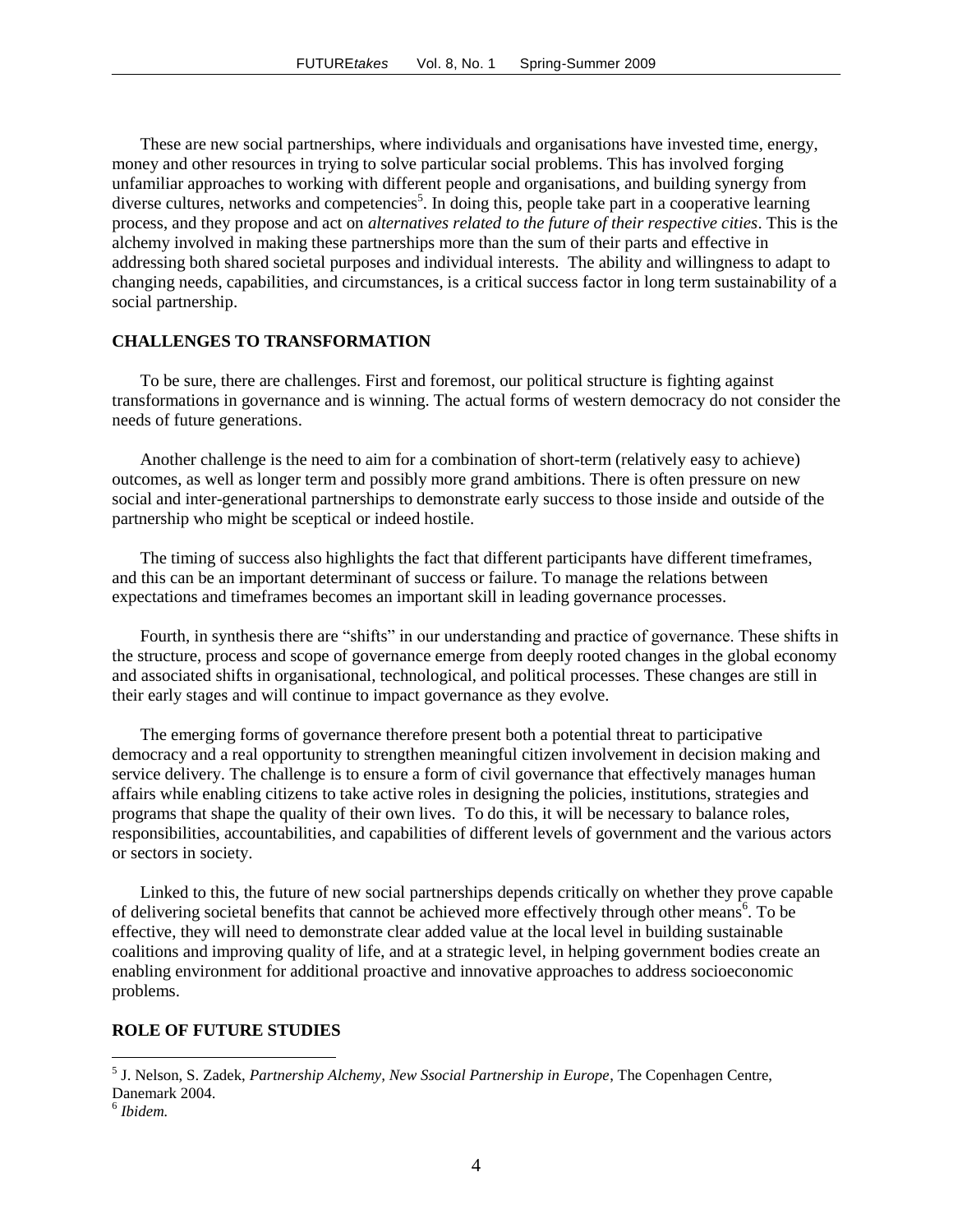These are new social partnerships, where individuals and organisations have invested time, energy, money and other resources in trying to solve particular social problems. This has involved forging unfamiliar approaches to working with different people and organisations, and building synergy from diverse cultures, networks and competencies<sup>5</sup>. In doing this, people take part in a cooperative learning process, and they propose and act on *alternatives related to the future of their respective cities*. This is the alchemy involved in making these partnerships more than the sum of their parts and effective in addressing both shared societal purposes and individual interests. The ability and willingness to adapt to changing needs, capabilities, and circumstances, is a critical success factor in long term sustainability of a social partnership.

#### **CHALLENGES TO TRANSFORMATION**

To be sure, there are challenges. First and foremost, our political structure is fighting against transformations in governance and is winning. The actual forms of western democracy do not consider the needs of future generations.

Another challenge is the need to aim for a combination of short-term (relatively easy to achieve) outcomes, as well as longer term and possibly more grand ambitions. There is often pressure on new social and inter-generational partnerships to demonstrate early success to those inside and outside of the partnership who might be sceptical or indeed hostile.

The timing of success also highlights the fact that different participants have different timeframes, and this can be an important determinant of success or failure. To manage the relations between expectations and timeframes becomes an important skill in leading governance processes.

Fourth, in synthesis there are "shifts" in our understanding and practice of governance. These shifts in the structure, process and scope of governance emerge from deeply rooted changes in the global economy and associated shifts in organisational, technological, and political processes. These changes are still in their early stages and will continue to impact governance as they evolve.

The emerging forms of governance therefore present both a potential threat to participative democracy and a real opportunity to strengthen meaningful citizen involvement in decision making and service delivery. The challenge is to ensure a form of civil governance that effectively manages human affairs while enabling citizens to take active roles in designing the policies, institutions, strategies and programs that shape the quality of their own lives. To do this, it will be necessary to balance roles, responsibilities, accountabilities, and capabilities of different levels of government and the various actors or sectors in society.

Linked to this, the future of new social partnerships depends critically on whether they prove capable of delivering societal benefits that cannot be achieved more effectively through other means<sup>6</sup>. To be effective, they will need to demonstrate clear added value at the local level in building sustainable coalitions and improving quality of life, and at a strategic level, in helping government bodies create an enabling environment for additional proactive and innovative approaches to address socioeconomic problems.

#### **ROLE OF FUTURE STUDIES**

 $\overline{a}$ 

<sup>5</sup> J. Nelson, S. Zadek, *Partnership Alchemy, New Ssocial Partnership in Europe*, The Copenhagen Centre, Danemark 2004.

<sup>6</sup> *Ibidem.*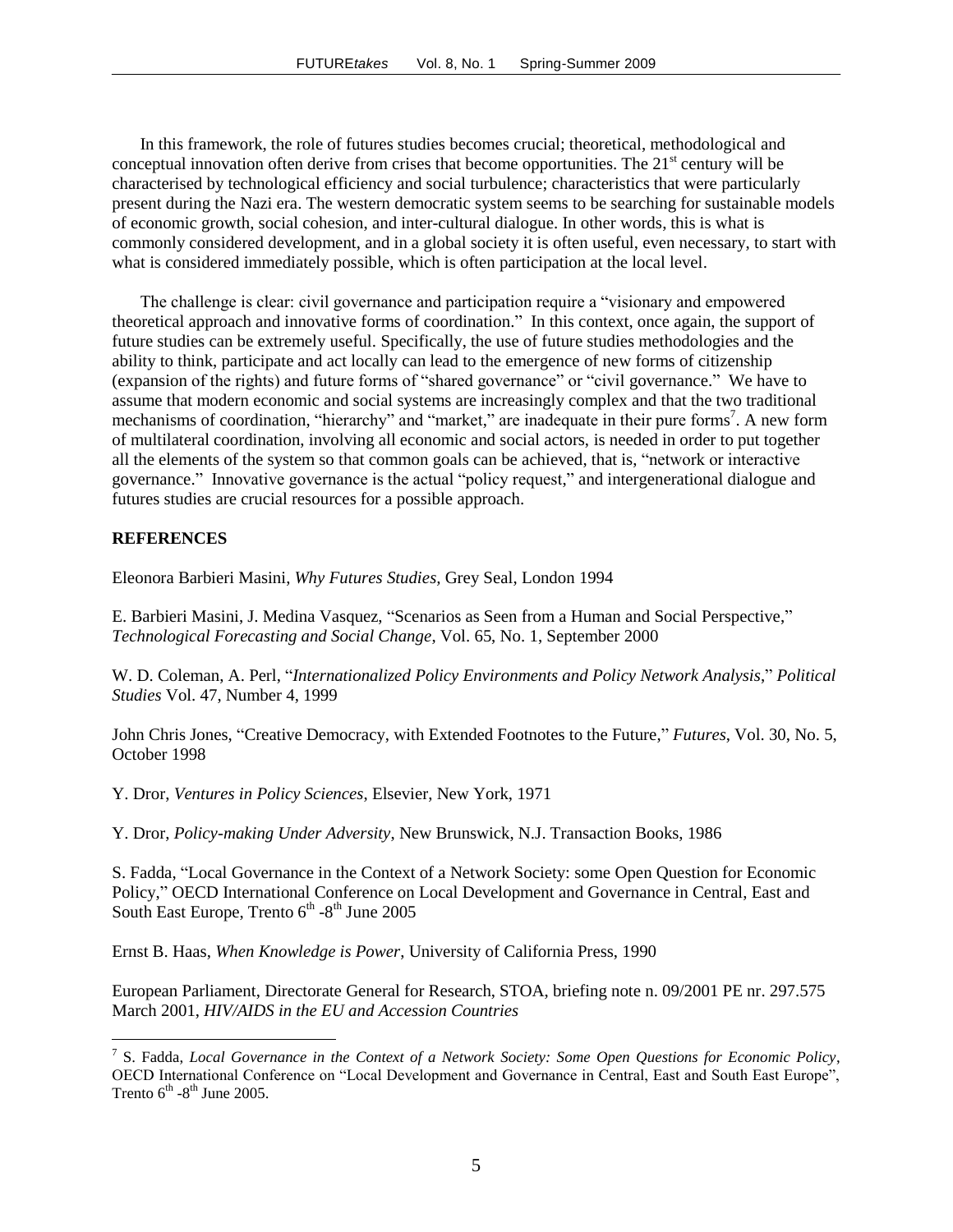In this framework, the role of futures studies becomes crucial; theoretical, methodological and conceptual innovation often derive from crises that become opportunities. The  $21<sup>st</sup>$  century will be characterised by technological efficiency and social turbulence; characteristics that were particularly present during the Nazi era. The western democratic system seems to be searching for sustainable models of economic growth, social cohesion, and inter-cultural dialogue. In other words, this is what is commonly considered development, and in a global society it is often useful, even necessary, to start with what is considered immediately possible, which is often participation at the local level.

The challenge is clear: civil governance and participation require a "visionary and empowered theoretical approach and innovative forms of coordination." In this context, once again, the support of future studies can be extremely useful. Specifically, the use of future studies methodologies and the ability to think, participate and act locally can lead to the emergence of new forms of citizenship (expansion of the rights) and future forms of "shared governance" or "civil governance." We have to assume that modern economic and social systems are increasingly complex and that the two traditional mechanisms of coordination, "hierarchy" and "market," are inadequate in their pure forms<sup>7</sup>. A new form of multilateral coordination, involving all economic and social actors, is needed in order to put together all the elements of the system so that common goals can be achieved, that is, "network or interactive governance." Innovative governance is the actual "policy request," and intergenerational dialogue and futures studies are crucial resources for a possible approach.

#### **REFERENCES**

 $\overline{a}$ 

Eleonora Barbieri Masini, *Why Futures Studies,* Grey Seal, London 1994

E. Barbieri Masini, J. Medina Vasquez, "Scenarios as Seen from a Human and Social Perspective," *Technological Forecasting and Social Change*, Vol. 65, No. 1, September 2000

W. D. Coleman, A. Perl, "*Internationalized Policy Environments and Policy Network Analysis*," *Political Studies* Vol. 47, Number 4, 1999

John Chris Jones, "Creative Democracy, with Extended Footnotes to the Future," *Futures*, Vol. 30, No. 5, October 1998

Y. Dror, *Ventures in Policy Sciences*, Elsevier, New York, 1971

Y. Dror, *Policy-making Under Adversity*, New Brunswick, N.J. Transaction Books, 1986

S. Fadda, "Local Governance in the Context of a Network Society: some Open Question for Economic Policy," OECD International Conference on Local Development and Governance in Central, East and South East Europe, Trento 6<sup>th</sup> -8<sup>th</sup> June 2005

Ernst B. Haas, *When Knowledge is Power*, University of California Press, 1990

European Parliament, Directorate General for Research, STOA, briefing note n. 09/2001 PE nr. 297.575 March 2001, *HIV/AIDS in the EU and Accession Countries*

<sup>7</sup> S. Fadda, *Local Governance in the Context of a Network Society: Some Open Questions for Economic Policy*, OECD International Conference on "Local Development and Governance in Central, East and South East Europe", Trento  $6^{\text{th}}$  - $8^{\text{th}}$  June 2005.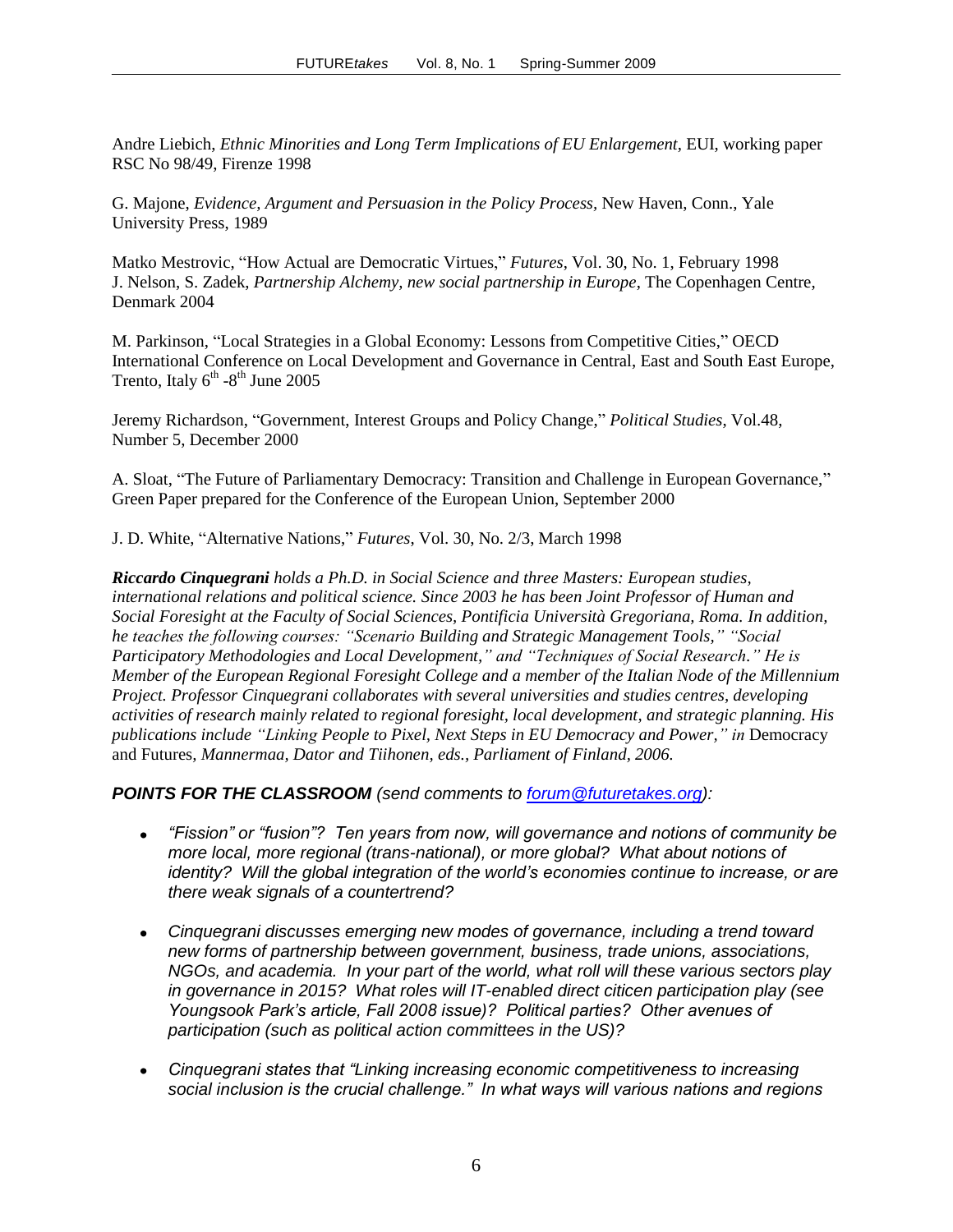Andre Liebich, *Ethnic Minorities and Long Term Implications of EU Enlargement*, EUI, working paper RSC No 98/49, Firenze 1998

G. Majone, *Evidence, Argument and Persuasion in the Policy Process,* New Haven, Conn., Yale University Press, 1989

Matko Mestrovic, "How Actual are Democratic Virtues," *Futures*, Vol. 30, No. 1, February 1998 J. Nelson, S. Zadek, *Partnership Alchemy, new social partnership in Europe*, The Copenhagen Centre, Denmark 2004

M. Parkinson, "Local Strategies in a Global Economy: Lessons from Competitive Cities," OECD International Conference on Local Development and Governance in Central, East and South East Europe, Trento, Italy  $6^{\text{th}}$  -8<sup>th</sup> June 2005

Jeremy Richardson, "Government, Interest Groups and Policy Change," *Political Studies*, Vol.48, Number 5, December 2000

A. Sloat, "The Future of Parliamentary Democracy: Transition and Challenge in European Governance," Green Paper prepared for the Conference of the European Union, September 2000

J. D. White, "Alternative Nations," *Futures*, Vol. 30, No. 2/3, March 1998

*Riccardo Cinquegrani holds a Ph.D. in Social Science and three Masters: European studies, international relations and political science. Since 2003 he has been Joint Professor of Human and Social Foresight at the Faculty of Social Sciences, Pontificia Università Gregoriana, Roma. In addition, he teaches the following courses: "Scenario Building and Strategic Management Tools," "Social Participatory Methodologies and Local Development," and "Techniques of Social Research." He is Member of the European Regional Foresight College and a member of the Italian Node of the Millennium Project. Professor Cinquegrani collaborates with several universities and studies centres, developing activities of research mainly related to regional foresight, local development, and strategic planning. His publications include "Linking People to Pixel, Next Steps in EU Democracy and Power," in* Democracy and Futures*, Mannermaa, Dator and Tiihonen, eds., Parliament of Finland, 2006.*

*POINTS FOR THE CLASSROOM (send comments to [forum@futuretakes.org\)](mailto:forum@futuretakes.org):*

- *"Fission" or "fusion"? Ten years from now, will governance and notions of community be*   $\bullet$ *more local, more regional (trans-national), or more global? What about notions of identity? Will the global integration of the world"s economies continue to increase, or are there weak signals of a countertrend?*
- *Cinquegrani discusses emerging new modes of governance, including a trend toward*   $\bullet$ *new forms of partnership between government, business, trade unions, associations, NGOs, and academia. In your part of the world, what roll will these various sectors play in governance in 2015? What roles will IT-enabled direct citicen participation play (see Youngsook Park"s article, Fall 2008 issue)? Political parties? Other avenues of participation (such as political action committees in the US)?*
- *Cinquegrani states that "Linking increasing economic competitiveness to increasing social inclusion is the crucial challenge." In what ways will various nations and regions*